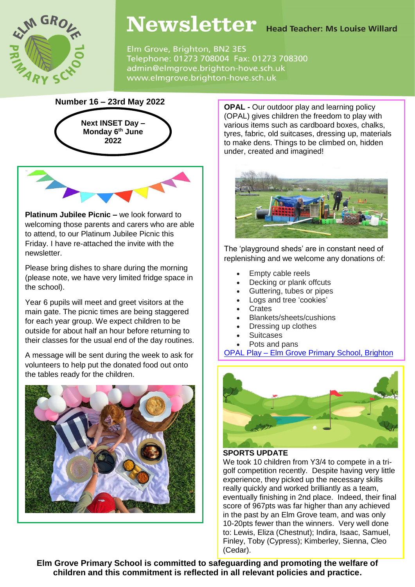

## Newsletter Head Teacher: Ms Louise Willard

Elm Grove, Brighton, BN2 3ES Telephone: 01273 708004 Fax: 01273 708300 admin@elmgrove.brighton-hove.sch.uk www.elmgrove.brighton-hove.sch.uk

**Number 16 – 23rd May 2022**





**Platinum Jubilee Picnic –** we look forward to welcoming those parents and carers who are able to attend, to our Platinum Jubilee Picnic this Friday. I have re-attached the invite with the newsletter.

Please bring dishes to share during the morning (please note, we have very limited fridge space in the school).

Year 6 pupils will meet and greet visitors at the main gate. The picnic times are being staggered for each year group. We expect children to be outside for about half an hour before returning to their classes for the usual end of the day routines.

A message will be sent during the week to ask for volunteers to help put the donated food out onto the tables ready for the children.



**OPAL -** Our outdoor play and learning policy (OPAL) gives children the freedom to play with various items such as cardboard boxes, chalks, tyres, fabric, old suitcases, dressing up, materials to make dens. Things to be climbed on, hidden under, created and imagined!



The 'playground sheds' are in constant need of replenishing and we welcome any donations of:

- Empty cable reels
- Decking or plank offcuts
- Guttering, tubes or pipes
- Logs and tree 'cookies'
- **Crates**
- Blankets/sheets/cushions
- Dressing up clothes
- **Suitcases**
- Pots and pans

OPAL Play – [Elm Grove Primary School, Brighton](https://www.elmgrove.brighton-hove.sch.uk/opal-play/)



## **SPORTS UPDATE**

We took 10 children from Y3/4 to compete in a trigolf competition recently. Despite having very little experience, they picked up the necessary skills really quickly and worked brilliantly as a team, eventually finishing in 2nd place. Indeed, their final score of 967pts was far higher than any achieved in the past by an Elm Grove team, and was only 10-20pts fewer than the winners. Very well done to: Lewis, Eliza (Chestnut); Indira, Isaac, Samuel, Finley, Toby (Cypress); Kimberley, Sienna, Cleo (Cedar).

**Elm Grove Primary School is committed to safeguarding and promoting the welfare of children and this commitment is reflected in all relevant policies and practice.**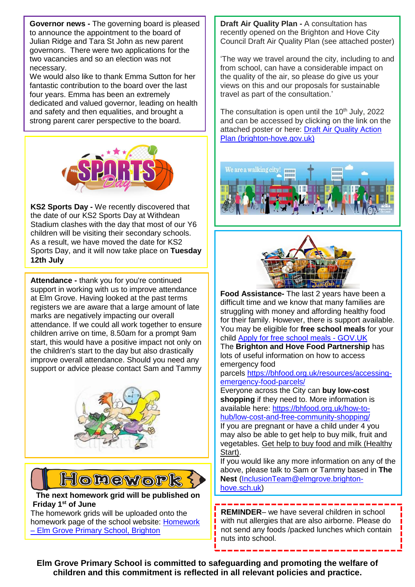Julian Ridge and Tara St John as new parent governors. There were two applications for the two vacancies and so an election was not necessary.<br>- low and the ultra-low and zero exhaust vehicles **Governor news -** The governing board is pleased to announce the appointment to the board of necessary.

we would also like to thank Emma Sutton for he<br>fantastic contribution to the board over the last Fundative communications to the section of the new hadden dedicated and valued governor, leading on health and safety and then equalities, and brought a strong parent carer perspective to the board. We would also like to thank Emma Sutton for her



**KS2 Sports Day -** We recently discovered that the date of our KS2 Sports Day at Withdean Stadium clashes with the day that most of our Y6 children will be visiting their secondary schools. As a result, we have moved the date for KS2 Sports Day, and it will now take place on **Tuesday 12th July**

**Attendance -** thank you for you're continued support in working with us to improve attendance at Elm Grove. Having looked at the past terms registers we are aware that a large amount of late marks are negatively impacting our overall attendance. If we could all work together to ensure children arrive on time, 8.50am for a prompt 9am start, this would have a positive impact not only on the children's start to the day but also drastically improve overall attendance. Should you need any support or advice please contact Sam and Tammy



Honework

**The next homework grid will be published on Friday 1st of June**

in The Nesterlands and the Nesterlands and the Nesterlands and the Nesterlands and the Nesterlands and the Nes<br>The Nesterlands and the Nesterlands and the Nesterlands and the Nesterlands and the Nesterlands and The Neste

The homework grids will be uploaded onto the homework page of the school website: [Homework](https://www.elmgrove.brighton-hove.sch.uk/year-groups/homework/)  – [Elm Grove Primary School, Brighton](https://www.elmgrove.brighton-hove.sch.uk/year-groups/homework/)

**Draft Air Quality Plan -** A consultation has recently opened on the Brighton and Hove City Council Draft Air Quality Plan (see attached poster)

'The way we travel around the city, including to and from school, can have a considerable impact on the quality of the air, so please do give us your views on this and our proposals for sustainable travel as part of the consultation.'

The consultation is open until the  $10<sup>th</sup>$  July, 2022 and can be accessed by clicking on the link on the attached poster or here: Draft Air [Quality](https://www.brighton-hove.gov.uk/environment/noise-pollution-and-air-quality/draft-air-quality-action-plan) Action Plan [\(brighton-hove.gov.uk\)](https://www.brighton-hove.gov.uk/environment/noise-pollution-and-air-quality/draft-air-quality-action-plan)





**Food Assistance-** The last 2 years have been a difficult time and we know that many families are struggling with money and affording healthy food for their family. However, there is support available. You may be eligible for **free school meals** for your child Apply for free school meals - [GOV.UK](https://www.brighton-hove.gov.uk/schools-and-learning/free-school-meals)

The **Brighton and Hove Food Partnership** has lots of useful information on how to access emergency food

parcels [https://bhfood.org.uk/resources/accessing](https://bhfood.org.uk/resources/accessing-emergency-food-parcels/)[emergency-food-parcels/](https://bhfood.org.uk/resources/accessing-emergency-food-parcels/)

Everyone across the City can **buy low-cost shopping** if they need to. More information is available here: [https://bhfood.org.uk/how-to](https://bhfood.org.uk/how-to-hub/low-cost-and-free-community-shopping/)[hub/low-cost-and-free-community-shopping/](https://bhfood.org.uk/how-to-hub/low-cost-and-free-community-shopping/)

If you are pregnant or have a child under 4 you may also be able to get help to buy milk, fruit and vegetables. Get help to buy food and milk [\(Healthy](https://www.healthystart.nhs.uk/) [Start\).](https://www.healthystart.nhs.uk/)

If you would like any more information on any of the above, please talk to Sam or Tammy based in **The Nest** [\(InclusionTeam@elmgrove.brighton](mailto:InclusionTeam@elmgrove.brighton-hove.sch.uk)[hove.sch.uk\)](mailto:InclusionTeam@elmgrove.brighton-hove.sch.uk)

**REMINDER**– we have several children in school with nut allergies that are also airborne. Please do not send any foods /packed lunches which contain nuts into school.

**Elm Grove Primary School is committed to safeguarding and promoting the welfare of children and this commitment is reflected in all relevant policies and practice.**